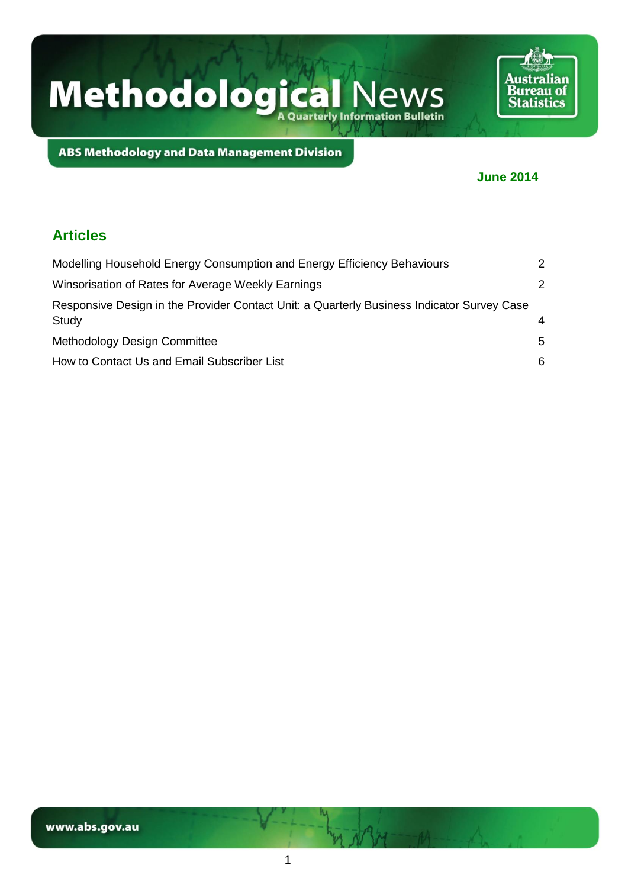

**ABS Methodology and Data Management Division** 

### **June 2014**

### **Articles**

| Modelling Household Energy Consumption and Energy Efficiency Behaviours                             | 2             |
|-----------------------------------------------------------------------------------------------------|---------------|
| Winsorisation of Rates for Average Weekly Earnings                                                  | $\mathcal{P}$ |
| Responsive Design in the Provider Contact Unit: a Quarterly Business Indicator Survey Case<br>Study | 4             |
| Methodology Design Committee                                                                        | 5             |
| How to Contact Us and Email Subscriber List                                                         | 6             |

1

is NBM---AA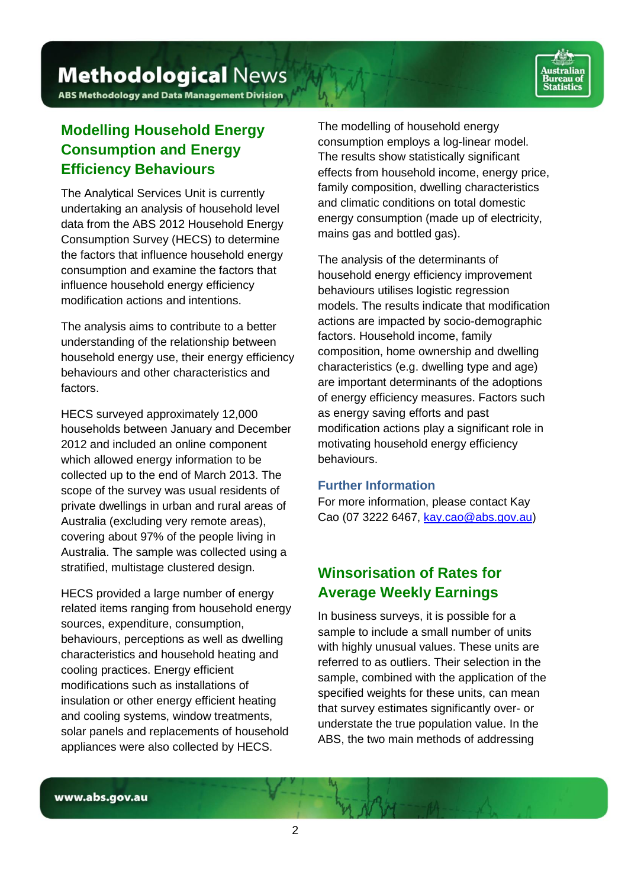

**ABS Methodology and Data Management Division** 

# <span id="page-1-0"></span>**Modelling Household Energy Consumption and Energy Efficiency Behaviours**

The Analytical Services Unit is currently undertaking an analysis of household level data from the ABS 2012 Household Energy Consumption Survey (HECS) to determine the factors that influence household energy consumption and examine the factors that influence household energy efficiency modification actions and intentions.

The analysis aims to contribute to a better understanding of the relationship between household energy use, their energy efficiency behaviours and other characteristics and factors.

HECS surveyed approximately 12,000 households between January and December 2012 and included an online component which allowed energy information to be collected up to the end of March 2013. The scope of the survey was usual residents of private dwellings in urban and rural areas of Australia (excluding very remote areas), covering about 97% of the people living in Australia. The sample was collected using a stratified, multistage clustered design.

HECS provided a large number of energy related items ranging from household energy sources, expenditure, consumption, behaviours, perceptions as well as dwelling characteristics and household heating and cooling practices. Energy efficient modifications such as installations of insulation or other energy efficient heating and cooling systems, window treatments, solar panels and replacements of household appliances were also collected by HECS.

The modelling of household energy consumption employs a log-linear model. The results show statistically significant effects from household income, energy price, family composition, dwelling characteristics and climatic conditions on total domestic energy consumption (made up of electricity, mains gas and bottled gas).

The analysis of the determinants of household energy efficiency improvement behaviours utilises logistic regression models. The results indicate that modification actions are impacted by socio-demographic factors. Household income, family composition, home ownership and dwelling characteristics (e.g. dwelling type and age) are important determinants of the adoptions of energy efficiency measures. Factors such as energy saving efforts and past modification actions play a significant role in motivating household energy efficiency behaviours.

### **Further Information**

For more information, please contact Kay Cao (07 3222 6467, [kay.cao@abs.gov.au\)](mailto:kay.cao@abs.gov.au)

# <span id="page-1-1"></span>**Winsorisation of Rates for Average Weekly Earnings**

In business surveys, it is possible for a sample to include a small number of units with highly unusual values. These units are referred to as outliers. Their selection in the sample, combined with the application of the specified weights for these units, can mean that survey estimates significantly over- or understate the true population value. In the ABS, the two main methods of addressing

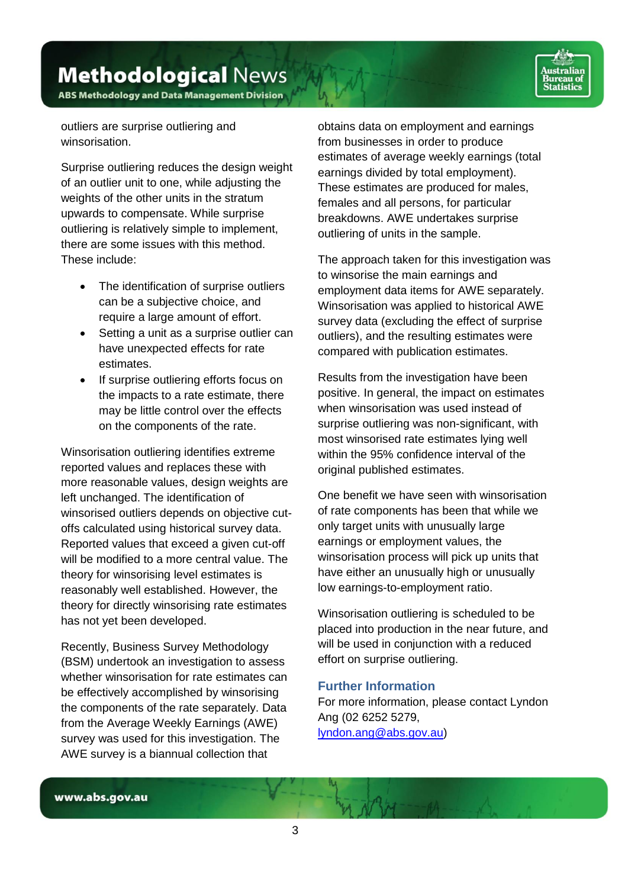**ABS Methodology and Data Management Division** 

outliers are surprise outliering and winsorisation.

Surprise outliering reduces the design weight of an outlier unit to one, while adjusting the weights of the other units in the stratum upwards to compensate. While surprise outliering is relatively simple to implement, there are some issues with this method. These include:

- The identification of surprise outliers can be a subjective choice, and require a large amount of effort.
- Setting a unit as a surprise outlier can have unexpected effects for rate estimates.
- If surprise outliering efforts focus on the impacts to a rate estimate, there may be little control over the effects on the components of the rate.

Winsorisation outliering identifies extreme reported values and replaces these with more reasonable values, design weights are left unchanged. The identification of winsorised outliers depends on objective cutoffs calculated using historical survey data. Reported values that exceed a given cut-off will be modified to a more central value. The theory for winsorising level estimates is reasonably well established. However, the theory for directly winsorising rate estimates has not yet been developed.

Recently, Business Survey Methodology (BSM) undertook an investigation to assess whether winsorisation for rate estimates can be effectively accomplished by winsorising the components of the rate separately. Data from the Average Weekly Earnings (AWE) survey was used for this investigation. The AWE survey is a biannual collection that

obtains data on employment and earnings from businesses in order to produce estimates of average weekly earnings (total earnings divided by total employment). These estimates are produced for males, females and all persons, for particular breakdowns. AWE undertakes surprise outliering of units in the sample.

The approach taken for this investigation was to winsorise the main earnings and employment data items for AWE separately. Winsorisation was applied to historical AWE survey data (excluding the effect of surprise outliers), and the resulting estimates were compared with publication estimates.

Results from the investigation have been positive. In general, the impact on estimates when winsorisation was used instead of surprise outliering was non-significant, with most winsorised rate estimates lying well within the 95% confidence interval of the original published estimates.

One benefit we have seen with winsorisation of rate components has been that while we only target units with unusually large earnings or employment values, the winsorisation process will pick up units that have either an unusually high or unusually low earnings-to-employment ratio.

Winsorisation outliering is scheduled to be placed into production in the near future, and will be used in conjunction with a reduced effort on surprise outliering.

### **Further Information**

For more information, please contact Lyndon Ang (02 6252 5279, [lyndon.ang@abs.gov.au\)](mailto:lyndon.ang@abs.gov.au)

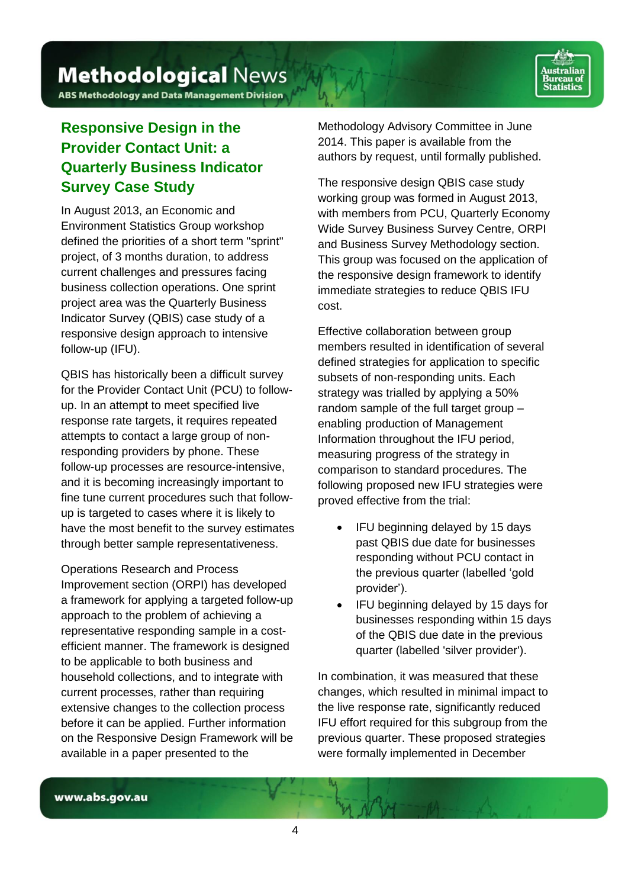**ABS Methodology and Data Management Division** 

# <span id="page-3-0"></span>**Responsive Design in the Provider Contact Unit: a Quarterly Business Indicator Survey Case Study**

In August 2013, an Economic and Environment Statistics Group workshop defined the priorities of a short term "sprint" project, of 3 months duration, to address current challenges and pressures facing business collection operations. One sprint project area was the Quarterly Business Indicator Survey (QBIS) case study of a responsive design approach to intensive follow-up (IFU).

QBIS has historically been a difficult survey for the Provider Contact Unit (PCU) to followup. In an attempt to meet specified live response rate targets, it requires repeated attempts to contact a large group of nonresponding providers by phone. These follow-up processes are resource-intensive, and it is becoming increasingly important to fine tune current procedures such that followup is targeted to cases where it is likely to have the most benefit to the survey estimates through better sample representativeness.

Operations Research and Process Improvement section (ORPI) has developed a framework for applying a targeted follow-up approach to the problem of achieving a representative responding sample in a costefficient manner. The framework is designed to be applicable to both business and household collections, and to integrate with current processes, rather than requiring extensive changes to the collection process before it can be applied. Further information on the Responsive Design Framework will be available in a paper presented to the

Methodology Advisory Committee in June 2014. This paper is available from the authors by request, until formally published.

The responsive design QBIS case study working group was formed in August 2013, with members from PCU, Quarterly Economy Wide Survey Business Survey Centre, ORPI and Business Survey Methodology section. This group was focused on the application of the responsive design framework to identify immediate strategies to reduce QBIS IFU cost.

Effective collaboration between group members resulted in identification of several defined strategies for application to specific subsets of non-responding units. Each strategy was trialled by applying a 50% random sample of the full target group – enabling production of Management Information throughout the IFU period, measuring progress of the strategy in comparison to standard procedures. The following proposed new IFU strategies were proved effective from the trial:

- IFU beginning delayed by 15 days past QBIS due date for businesses responding without PCU contact in the previous quarter (labelled 'gold provider').
- IFU beginning delayed by 15 days for businesses responding within 15 days of the QBIS due date in the previous quarter (labelled 'silver provider').

In combination, it was measured that these changes, which resulted in minimal impact to the live response rate, significantly reduced IFU effort required for this subgroup from the previous quarter. These proposed strategies were formally implemented in December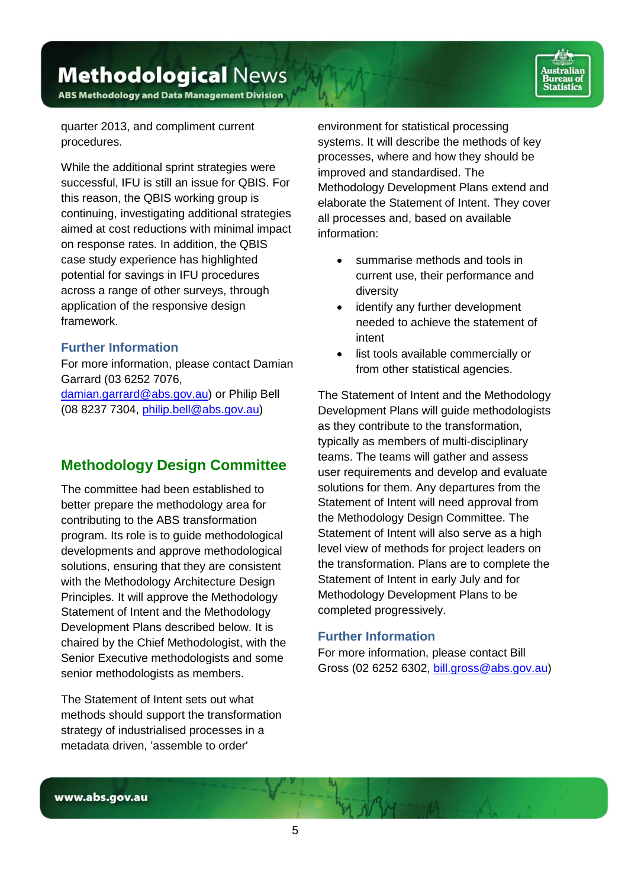**Methodological News ABS Methodology and Data Management Division** 

quarter 2013, and compliment current procedures.

While the additional sprint strategies were successful, IFU is still an issue for QBIS. For this reason, the QBIS working group is continuing, investigating additional strategies aimed at cost reductions with minimal impact on response rates. In addition, the QBIS case study experience has highlighted potential for savings in IFU procedures across a range of other surveys, through application of the responsive design framework.

### **Further Information**

For more information, please contact Damian Garrard (03 6252 7076,

[damian.garrard@abs.gov.au\)](mailto:damian.garrard@abs.gov.au) or Philip Bell (08 8237 7304, [philip.bell@abs.gov.au\)](mailto:philip.bell@abs.gov.au)

### <span id="page-4-0"></span>**Methodology Design Committee**

The committee had been established to better prepare the methodology area for contributing to the ABS transformation program. Its role is to guide methodological developments and approve methodological solutions, ensuring that they are consistent with the Methodology Architecture Design Principles. It will approve the Methodology Statement of Intent and the Methodology Development Plans described below. It is chaired by the Chief Methodologist, with the Senior Executive methodologists and some senior methodologists as members.

The Statement of Intent sets out what methods should support the transformation strategy of industrialised processes in a metadata driven, 'assemble to order'

environment for statistical processing systems. It will describe the methods of key processes, where and how they should be improved and standardised. The Methodology Development Plans extend and elaborate the Statement of Intent. They cover all processes and, based on available information:

- summarise methods and tools in current use, their performance and diversity
- identify any further development needed to achieve the statement of intent
- list tools available commercially or from other statistical agencies.

The Statement of Intent and the Methodology Development Plans will guide methodologists as they contribute to the transformation, typically as members of multi-disciplinary teams. The teams will gather and assess user requirements and develop and evaluate solutions for them. Any departures from the Statement of Intent will need approval from the Methodology Design Committee. The Statement of Intent will also serve as a high level view of methods for project leaders on the transformation. Plans are to complete the Statement of Intent in early July and for Methodology Development Plans to be completed progressively.

#### **Further Information**

For more information, please contact Bill Gross (02 6252 6302, [bill.gross@abs.gov.au\)](mailto:bill.gross@abs.gov.au)